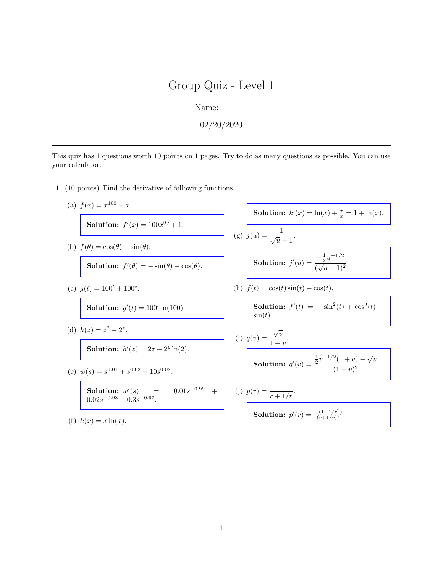Name:

02/20/2020

This quiz has 1 questions worth 10 points on 1 pages. Try to do as many questions as possible. You can use your calculator.

- 1. (10 points) Find the derivative of following functions.
	- (a)  $f(x) = x^{100} + x$ .

Solution:  $f'(x) = 100x^{99} + 1$ .

(b)  $f(\theta) = \cos(\theta) - \sin(\theta)$ .

Solution:  $f'(\theta) = -\sin(\theta) - \cos(\theta)$ .

(c)  $g(t) = 100^t + 100^e$ .

**Solution:**  $g'(t) = 100^t \ln(100)$ .

(d)  $h(z) = z^2 - 2^z$ .

Solution:  $h'(z) = 2z - 2^z \ln(2)$ .

(e)  $w(s) = s^{0.01} + s^{0.02} - 10s^{0.03}$ .

**Solution:** 
$$
w'(s)
$$
 = 0.01s<sup>-0.99</sup> +  
0.02s<sup>-0.98</sup> - 0.3s<sup>-0.97</sup>.

(f)  $k(x) = x \ln(x)$ .

Solution: 
$$
k'(x) = \ln(x) + \frac{x}{x} = 1 + \ln(x)
$$
.  
\n(g)  $j(u) = \frac{1}{\sqrt{u} + 1}$ .  
\nSolution:  $j'(u) = \frac{-\frac{1}{2}u^{-1/2}}{(\sqrt{u} + 1)^2}$ .  
\n(h)  $f(t) = \cos(t)\sin(t) + \cos(t)$ .  
\nSolution:  $f'(t) = -\sin^2(t) + \cos^2(t) - \frac{1}{2}t$ .

**Solution:** 
$$
f'(t) = -\sin^2(t) + \cos^2(t) - \sin(t)
$$
.

(i) 
$$
q(v) = \frac{\sqrt{v}}{1+v}
$$
.  
Solution:  $q'(v) = \frac{\frac{1}{2}v^{-1/2}(1+v) - \sqrt{v}}{(1+v)^2}$ .

(j) 
$$
p(r) = \frac{1}{r + 1/r}
$$
.

**Solution:** 
$$
p'(r) = \frac{-(1-1/r^2)}{(r+1/r)^2}
$$
.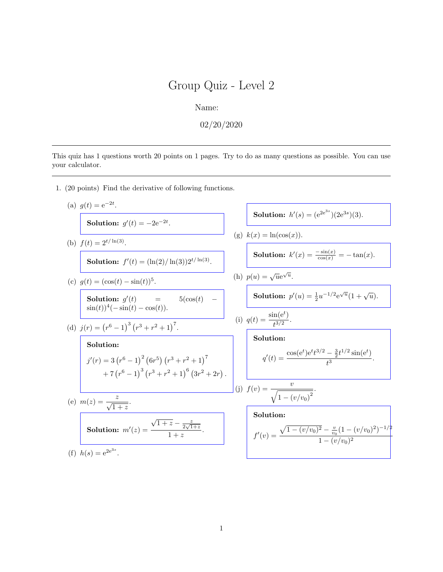Name:

 $02/20/2020$ 

This quiz has 1 questions worth 20 points on 1 pages. Try to do as many questions as possible. You can use your calculator.

1. (20 points) Find the derivative of following functions.

(a) 
$$
g(t) = e^{-2t}
$$
.  
\n**Solution:**  $g'(t) = -2e^{-2t}$ .  
\n(b)  $f(t) = 2^{t/\ln(3)}$ .  
\n**Solution:**  $f'(t) = (\ln(2)/\ln(3))2^{t/\ln(3)}$ .  
\n(c)  $g(t) = (\cos(t) - \sin(t))^5$ .  
\n**Solution:**  $g'(t) = \frac{\sin(x)}{(x)} = -\tan(x)$ .  
\n**Solution:**  $g'(t) = \frac{\sin(t) + \sin(t)}{t} = \frac{\sin(t)}{t} = -\frac{\sin(t)}{t} = -\frac{\sin(t)}{t} = -\frac{\sin(t)}{t}$ .  
\n**Solution:**  $g'(t) = \frac{\sin(t) + \sin(t)}{\sin(t)} = \frac{\sin(t)}{t} = \frac{\sin(t)}{t}$ .  
\n(d)  $j(r) = (r^6 - 1)^3 (r^3 + r^2 + 1)^7$ .  
\n**Solution:**  
\n $j'(r) = 3 (r^6 - 1)^2 (6r^5) (r^3 + r^2 + 1)^7$   
\n $+ 7 (r^6 - 1)^3 (r^3 + r^2 + 1)^6 (3r^2 + 2r)$ .  
\n**Solution:**  
\n**Solution:**  
\n $j'(r) = 3 \frac{r^6 - 1}{\sqrt{1 + z}}$ .  
\n**Solution:**  $m'(z) = \frac{z}{\sqrt{1 + z} - \frac{z}{2\sqrt{1 + z}}}$ .  
\n**Solution:**  $m'(z) = \frac{\sqrt{1 + z} - \frac{z}{2\sqrt{1 + z}}}{1 + z}$ .  
\n**Solution:**  $m'(z) = \frac{\sqrt{1 + z} - \frac{z}{2\sqrt{1 + z}}}{1 + z}$ .  
\n**Solution:**  $m'(z) = \frac{\sqrt{1 + z} - \frac{z}{2\sqrt{1 + z}}}{1 - (v/v_0)^2}$ .  
\n**Solution:**  $m'(z) = \frac{\sqrt{1 + z} - \frac{z}{2\sqrt{1 + z}}}{1 - (v/v_0)^2}$ .  
\n**Solution:**  $m'(z) = \frac{\sqrt{1 + z} - \frac{z}{2\sqrt{1 + z}}}{$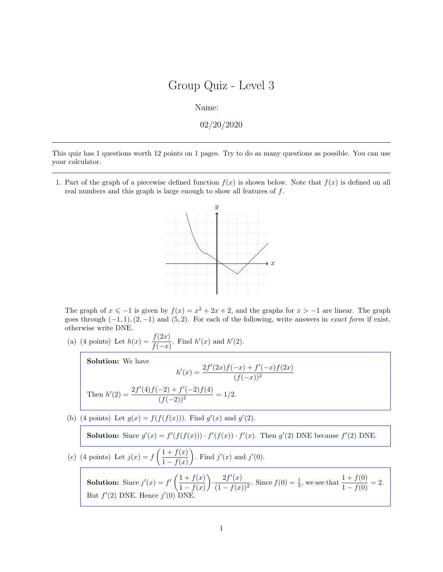Name:

02/20/2020

This quiz has 1 questions worth 12 points on 1 pages. Try to do as many questions as possible. You can use your calculator.

1. Part of the graph of a piecewise defined function  $f(x)$  is shown below. Note that  $f(x)$  is defined on all real numbers and this graph is large enough to show all features of f.



The graph of  $x \le -1$  is given by  $f(x) = x^2 + 2x + 2$ , and the graphs for  $x > -1$  are linear. The graph goes through  $(-1, 1), (2, -1)$  and  $(5, 2)$ . For each of the following, write answers in *exact form* if exist, otherwise write DNE.

(a) (4 points) Let  $h(x) = \frac{f(2x)}{f(-x)}$ . Find  $h'(x)$  and  $h'(2)$ .

Solution: We have

$$
h'(x) = \frac{2f'(2x)f(-x) + f'(-x)f(2x)}{(f(-x))^2}
$$
  
Then 
$$
h'(2) = \frac{2f'(4)f(-2) + f'(-2)f(4)}{(f(-2))^2} = 1/2.
$$

(b) (4 points) Let  $g(x) = f(f(f(x)))$ . Find  $g'(x)$  and  $g'(2)$ .

**Solution:** Since  $g'(x) = f'(f(f(x))) \cdot f'(f(x)) \cdot f'(x)$ . Then  $g'(2)$  DNE because  $f'(2)$  DNE.

(c) (4 points) Let  $j(x) = f\left(\frac{1+f(x)}{1-f(x)}\right)$  $1 - f(x)$ ). Find  $j'(x)$  and  $j'(0)$ .

**Solution:** Since  $j'(x) = f'(\frac{1+f(x)}{1+f(x)})$  $1 - f(x)$ ).  $2f'(x)$  $\frac{2f'(x)}{(1-f(x))^2}$ . Since  $f(0) = \frac{1}{3}$ , we see that  $\frac{1+f(0)}{1-f(0)} = 2$ . But  $f'(2)$  DNE. Hence  $j'(0)$  DNE.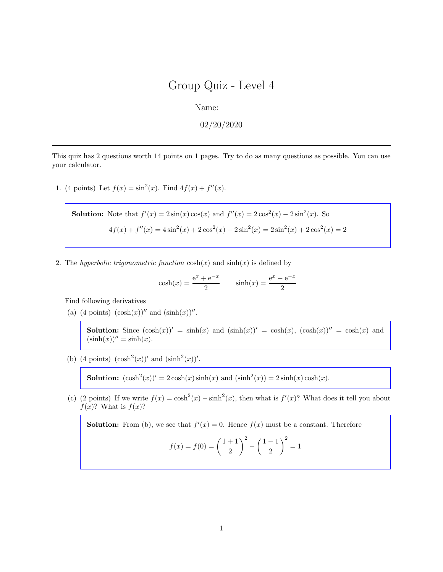Name:

02/20/2020

This quiz has 2 questions worth 14 points on 1 pages. Try to do as many questions as possible. You can use your calculator.

1. (4 points) Let  $f(x) = \sin^2(x)$ . Find  $4f(x) + f''(x)$ .

Solution: Note that 
$$
f'(x) = 2\sin(x)\cos(x)
$$
 and  $f''(x) = 2\cos^2(x) - 2\sin^2(x)$ . So  

$$
4f(x) + f''(x) = 4\sin^2(x) + 2\cos^2(x) - 2\sin^2(x) = 2\sin^2(x) + 2\cos^2(x) = 2
$$

2. The hyperbolic trigonometric function  $\cosh(x)$  and  $\sinh(x)$  is defined by

$$
cosh(x) = \frac{e^x + e^{-x}}{2}
$$
  $sinh(x) = \frac{e^x - e^{-x}}{2}$ 

Find following derivatives

(a) (4 points)  $(\cosh(x))''$  and  $(\sinh(x))''$ .

**Solution:** Since  $(\cosh(x))' = \sinh(x)$  and  $(\sinh(x))' = \cosh(x)$ ,  $(\cosh(x))'' = \cosh(x)$  and  $(\sinh(x))'' = \sinh(x)$ .

(b) (4 points)  $(\cosh^2(x))'$  and  $(\sinh^2(x))'$ .

**Solution:**  $(\cosh^2(x))' = 2 \cosh(x) \sinh(x)$  and  $(\sinh^2(x)) = 2 \sinh(x) \cosh(x)$ .

(c) (2 points) If we write  $f(x) = \cosh^2(x) - \sinh^2(x)$ , then what is  $f'(x)$ ? What does it tell you about  $f(x)$ ? What is  $f(x)$ ?

**Solution:** From (b), we see that  $f'(x) = 0$ . Hence  $f(x)$  must be a constant. Therefore

$$
f(x) = f(0) = \left(\frac{1+1}{2}\right)^2 - \left(\frac{1-1}{2}\right)^2 = 1
$$